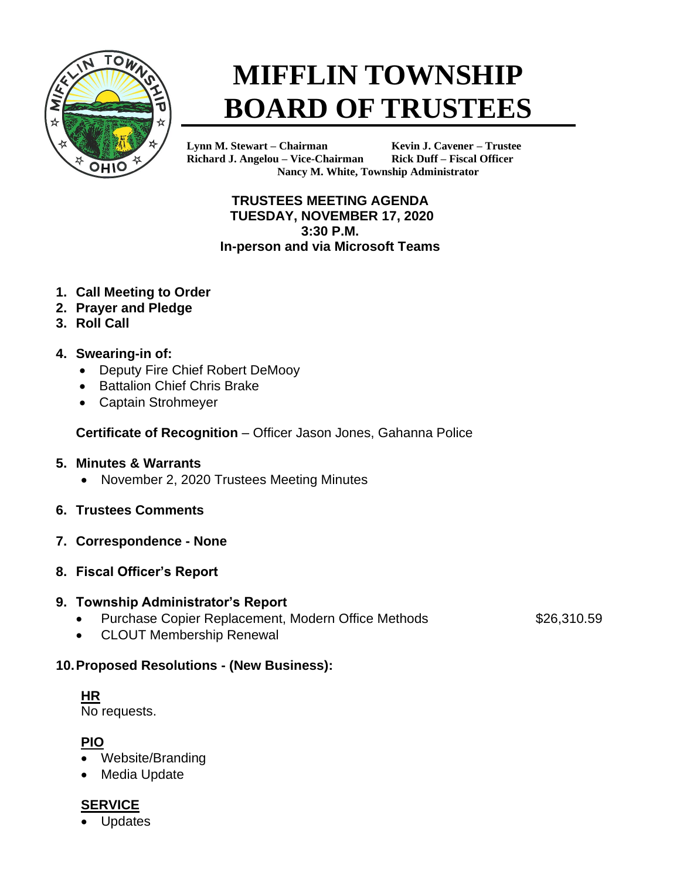

# **MIFFLIN TOWNSHIP BOARD OF TRUSTEES**

**Lynn M. Stewart – Chairman Kevin J. Cavener – Trustee Richard J. Angelou – Vice-Chairman Rick Duff – Fiscal Officer Nancy M. White, Township Administrator**

**TRUSTEES MEETING AGENDA TUESDAY, NOVEMBER 17, 2020 3:30 P.M. In-person and via Microsoft Teams**

- **1. Call Meeting to Order**
- **2. Prayer and Pledge**
- **3. Roll Call**

#### **4. Swearing-in of:**

- Deputy Fire Chief Robert DeMooy
- Battalion Chief Chris Brake
- Captain Strohmeyer

**Certificate of Recognition** – Officer Jason Jones, Gahanna Police

#### **5. Minutes & Warrants**

- November 2, 2020 Trustees Meeting Minutes
- **6. Trustees Comments**
- **7. Correspondence - None**
- **8. Fiscal Officer's Report**

#### **9. Township Administrator's Report**

• Purchase Copier Replacement, Modern Office Methods \$26,310.59

• CLOUT Membership Renewal

## **10.Proposed Resolutions - (New Business):**

**HR** No requests.

**PIO**

- Website/Branding
- Media Update

### **SERVICE**

**Updates**